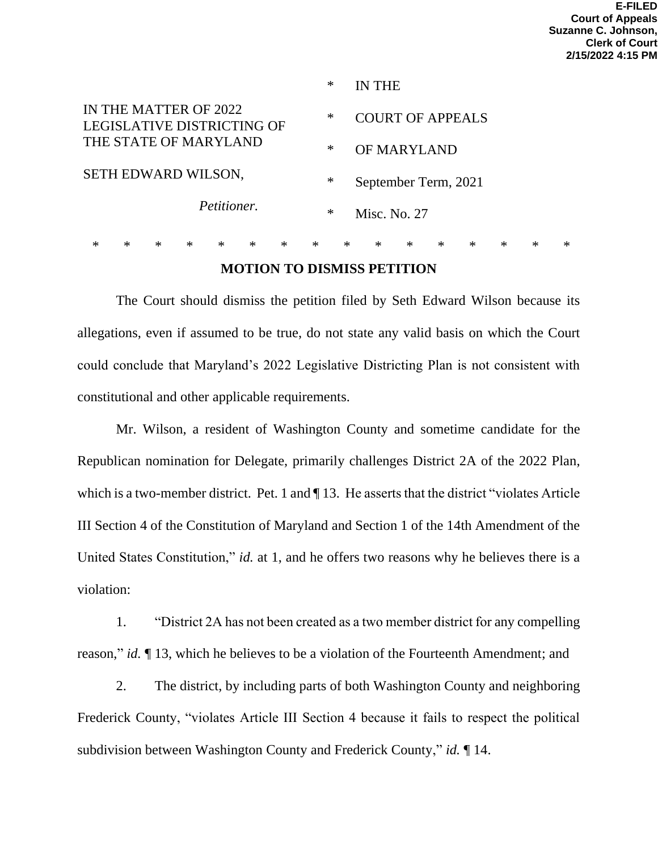|                                                                                                                    |   |        |        |   |        |        |        | $\ast$ | IN THE                               |        |        |   |        |   |   |  |
|--------------------------------------------------------------------------------------------------------------------|---|--------|--------|---|--------|--------|--------|--------|--------------------------------------|--------|--------|---|--------|---|---|--|
| IN THE MATTER OF 2022<br>LEGISLATIVE DISTRICTING OF<br>THE STATE OF MARYLAND<br>SETH EDWARD WILSON,<br>Petitioner. |   |        |        |   |        |        | ∗      |        | <b>COURT OF APPEALS</b>              |        |        |   |        |   |   |  |
|                                                                                                                    |   |        |        |   |        |        | ∗      |        | <b>OF MARYLAND</b>                   |        |        |   |        |   |   |  |
|                                                                                                                    |   |        |        |   |        |        | $\ast$ |        | September Term, 2021<br>Misc. No. 27 |        |        |   |        |   |   |  |
|                                                                                                                    |   |        |        |   |        |        | $\ast$ |        |                                      |        |        |   |        |   |   |  |
| ∗                                                                                                                  | × | $\ast$ | $\ast$ | ∗ | $\ast$ | $\ast$ | $\ast$ | $\ast$ | ∗                                    | $\ast$ | $\ast$ | ж | $\ast$ | ж | ∗ |  |

### **MOTION TO DISMISS PETITION**

The Court should dismiss the petition filed by Seth Edward Wilson because its allegations, even if assumed to be true, do not state any valid basis on which the Court could conclude that Maryland's 2022 Legislative Districting Plan is not consistent with constitutional and other applicable requirements.

Mr. Wilson, a resident of Washington County and sometime candidate for the Republican nomination for Delegate, primarily challenges District 2A of the 2022 Plan, which is a two-member district. Pet. 1 and  $\P$  13. He asserts that the district "violates Article" III Section 4 of the Constitution of Maryland and Section 1 of the 14th Amendment of the United States Constitution," *id.* at 1, and he offers two reasons why he believes there is a violation:

1. "District 2A has not been created as a two member district for any compelling reason," *id.* ¶ 13, which he believes to be a violation of the Fourteenth Amendment; and

2. The district, by including parts of both Washington County and neighboring Frederick County, "violates Article III Section 4 because it fails to respect the political subdivision between Washington County and Frederick County," *id.* ¶ 14.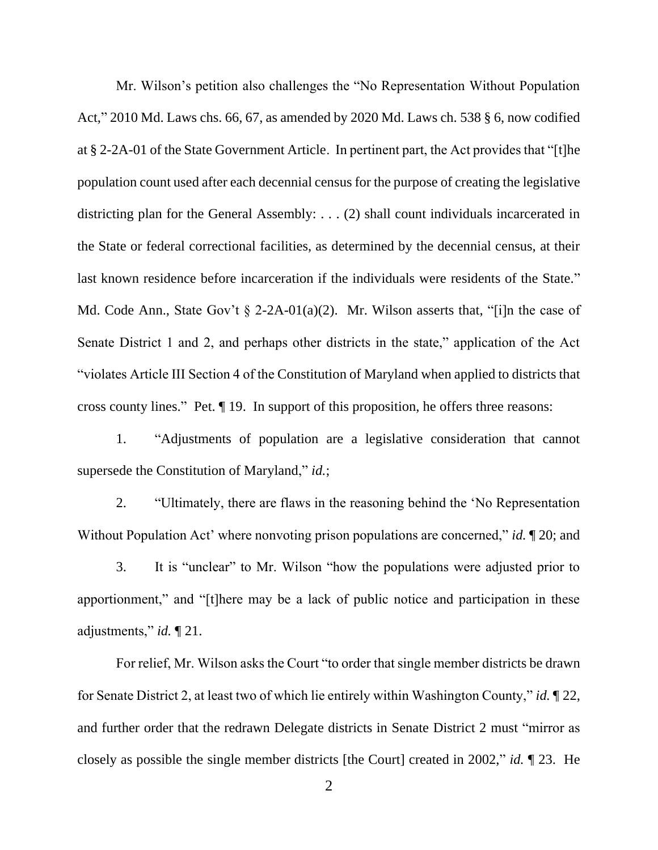Mr. Wilson's petition also challenges the "No Representation Without Population Act," 2010 Md. Laws chs. 66, 67, as amended by 2020 Md. Laws ch. 538 § 6, now codified at § 2-2A-01 of the State Government Article. In pertinent part, the Act provides that "[t]he population count used after each decennial census for the purpose of creating the legislative districting plan for the General Assembly: . . . (2) shall count individuals incarcerated in the State or federal correctional facilities, as determined by the decennial census, at their last known residence before incarceration if the individuals were residents of the State." Md. Code Ann., State Gov't  $\S$  2-2A-01(a)(2). Mr. Wilson asserts that, "[i]n the case of Senate District 1 and 2, and perhaps other districts in the state," application of the Act "violates Article III Section 4 of the Constitution of Maryland when applied to districts that cross county lines." Pet. ¶ 19. In support of this proposition, he offers three reasons:

1. "Adjustments of population are a legislative consideration that cannot supersede the Constitution of Maryland," *id.*;

2. "Ultimately, there are flaws in the reasoning behind the 'No Representation Without Population Act' where nonvoting prison populations are concerned," *id.* 1 20; and

3. It is "unclear" to Mr. Wilson "how the populations were adjusted prior to apportionment," and "[t]here may be a lack of public notice and participation in these adjustments," *id.* ¶ 21.

For relief, Mr. Wilson asks the Court "to order that single member districts be drawn for Senate District 2, at least two of which lie entirely within Washington County," *id.* ¶ 22, and further order that the redrawn Delegate districts in Senate District 2 must "mirror as closely as possible the single member districts [the Court] created in 2002," *id.* ¶ 23. He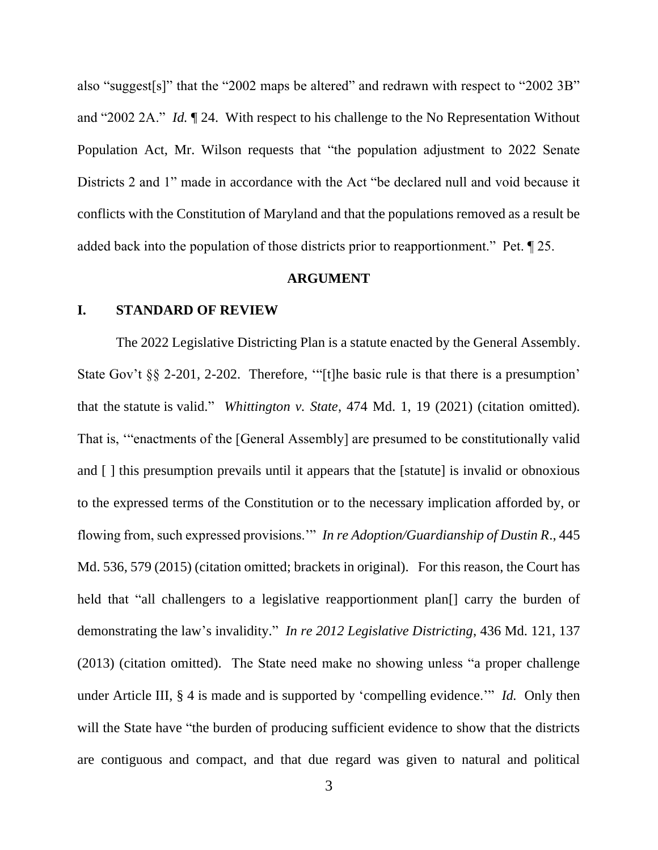also "suggest[s]" that the "2002 maps be altered" and redrawn with respect to "2002 3B" and "2002 2A." *Id.* ¶ 24. With respect to his challenge to the No Representation Without Population Act, Mr. Wilson requests that "the population adjustment to 2022 Senate Districts 2 and 1" made in accordance with the Act "be declared null and void because it conflicts with the Constitution of Maryland and that the populations removed as a result be added back into the population of those districts prior to reapportionment." Pet. ¶ 25.

#### **ARGUMENT**

#### **I. STANDARD OF REVIEW**

The 2022 Legislative Districting Plan is a statute enacted by the General Assembly. State Gov't §§ 2-201, 2-202. Therefore, "[t]he basic rule is that there is a presumption' that the statute is valid." *Whittington v. State*, 474 Md. 1, 19 (2021) (citation omitted). That is, '"enactments of the [General Assembly] are presumed to be constitutionally valid and [ ] this presumption prevails until it appears that the [statute] is invalid or obnoxious to the expressed terms of the Constitution or to the necessary implication afforded by, or flowing from, such expressed provisions.'" *In re Adoption/Guardianship of Dustin R*., 445 Md. 536, 579 (2015) (citation omitted; brackets in original). For this reason, the Court has held that "all challengers to a legislative reapportionment plan<sup>[]</sup> carry the burden of demonstrating the law's invalidity." *In re 2012 Legislative Districting*, 436 Md. 121, 137 (2013) (citation omitted). The State need make no showing unless "a proper challenge under Article III, § 4 is made and is supported by 'compelling evidence.'" *Id.* Only then will the State have "the burden of producing sufficient evidence to show that the districts are contiguous and compact, and that due regard was given to natural and political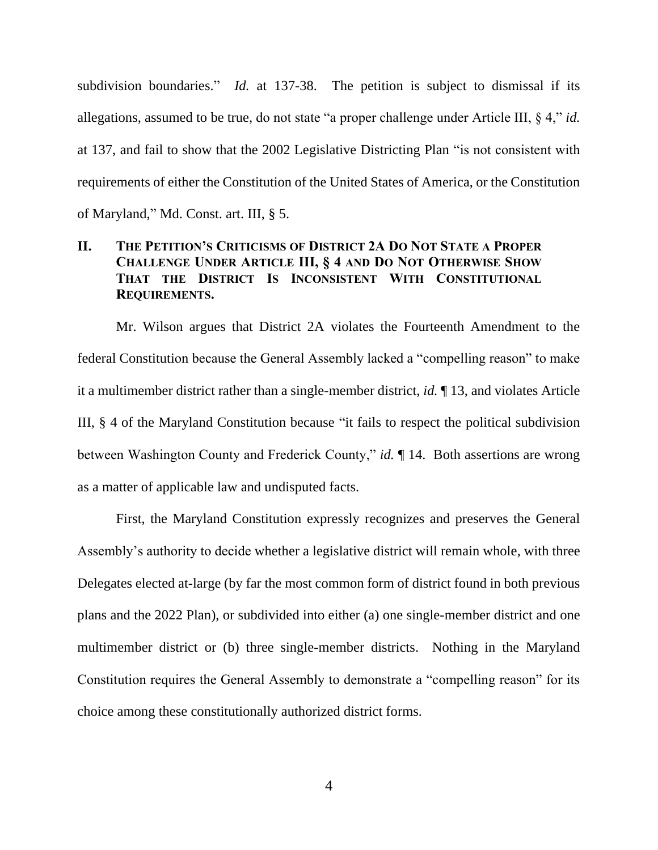subdivision boundaries." *Id.* at 137-38. The petition is subject to dismissal if its allegations, assumed to be true, do not state "a proper challenge under Article III, § 4," *id.*  at 137, and fail to show that the 2002 Legislative Districting Plan "is not consistent with requirements of either the Constitution of the United States of America, or the Constitution of Maryland," Md. Const. art. III, § 5.

## **II. THE PETITION'S CRITICISMS OF DISTRICT 2A DO NOT STATE A PROPER CHALLENGE UNDER ARTICLE III, § 4 AND DO NOT OTHERWISE SHOW THAT THE DISTRICT IS INCONSISTENT WITH CONSTITUTIONAL REQUIREMENTS.**

Mr. Wilson argues that District 2A violates the Fourteenth Amendment to the federal Constitution because the General Assembly lacked a "compelling reason" to make it a multimember district rather than a single-member district, *id.* ¶ 13, and violates Article III, § 4 of the Maryland Constitution because "it fails to respect the political subdivision between Washington County and Frederick County," *id.* ¶ 14. Both assertions are wrong as a matter of applicable law and undisputed facts.

First, the Maryland Constitution expressly recognizes and preserves the General Assembly's authority to decide whether a legislative district will remain whole, with three Delegates elected at-large (by far the most common form of district found in both previous plans and the 2022 Plan), or subdivided into either (a) one single-member district and one multimember district or (b) three single-member districts. Nothing in the Maryland Constitution requires the General Assembly to demonstrate a "compelling reason" for its choice among these constitutionally authorized district forms.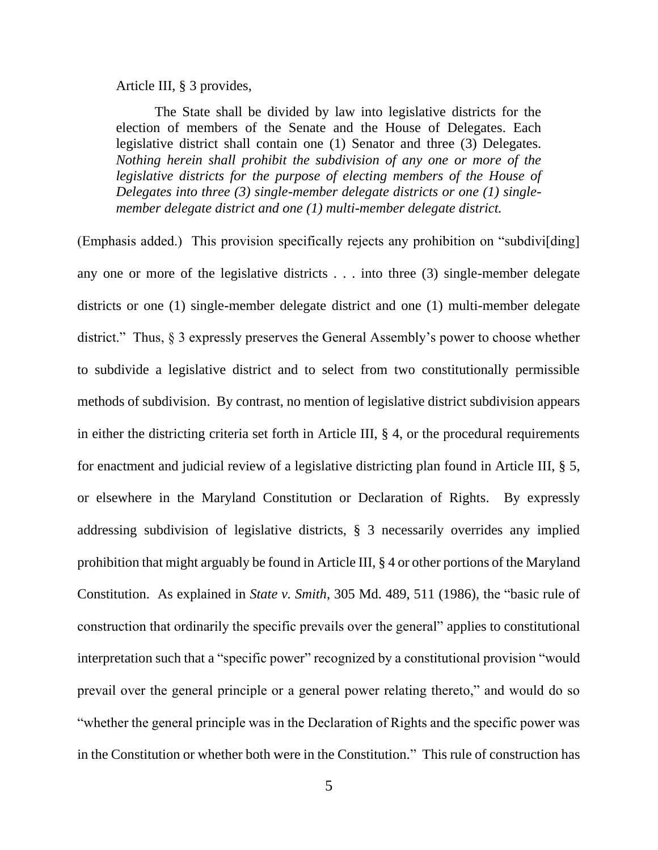Article III, § 3 provides,

The State shall be divided by law into legislative districts for the election of members of the Senate and the House of Delegates. Each legislative district shall contain one (1) Senator and three (3) Delegates. *Nothing herein shall prohibit the subdivision of any one or more of the legislative districts for the purpose of electing members of the House of Delegates into three (3) single-member delegate districts or one (1) singlemember delegate district and one (1) multi-member delegate district.*

(Emphasis added.) This provision specifically rejects any prohibition on "subdivi[ding] any one or more of the legislative districts . . . into three (3) single-member delegate districts or one (1) single-member delegate district and one (1) multi-member delegate district." Thus, § 3 expressly preserves the General Assembly's power to choose whether to subdivide a legislative district and to select from two constitutionally permissible methods of subdivision. By contrast, no mention of legislative district subdivision appears in either the districting criteria set forth in Article III, § 4, or the procedural requirements for enactment and judicial review of a legislative districting plan found in Article III, § 5, or elsewhere in the Maryland Constitution or Declaration of Rights. By expressly addressing subdivision of legislative districts, § 3 necessarily overrides any implied prohibition that might arguably be found in Article III, § 4 or other portions of the Maryland Constitution. As explained in *State v. Smith*, 305 Md. 489, 511 (1986), the "basic rule of construction that ordinarily the specific prevails over the general" applies to constitutional interpretation such that a "specific power" recognized by a constitutional provision "would prevail over the general principle or a general power relating thereto," and would do so "whether the general principle was in the Declaration of Rights and the specific power was in the Constitution or whether both were in the Constitution." This rule of construction has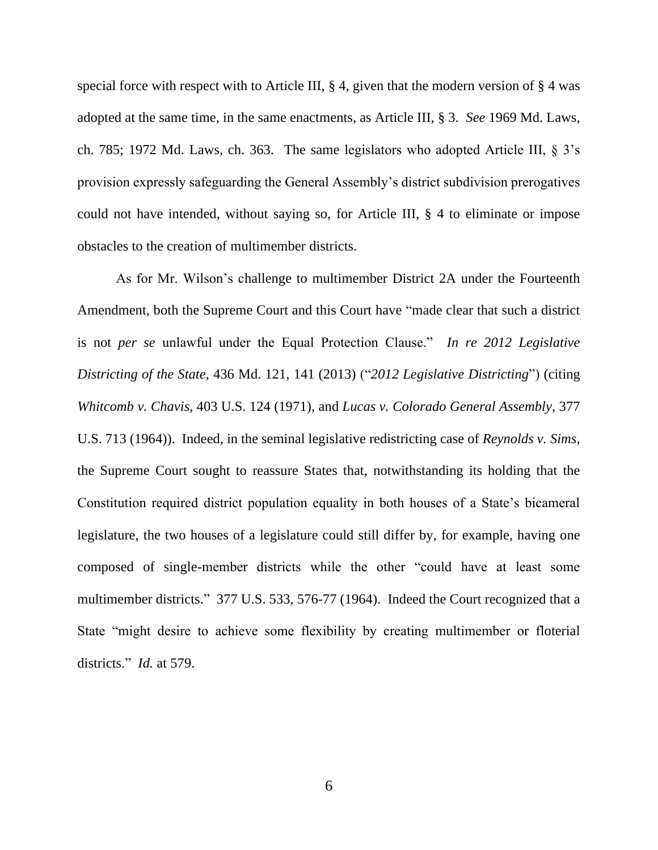special force with respect with to Article III,  $\S 4$ , given that the modern version of  $\S 4$  was adopted at the same time, in the same enactments, as Article III, § 3. *See* 1969 Md. Laws, ch. 785; 1972 Md. Laws, ch. 363. The same legislators who adopted Article III, § 3's provision expressly safeguarding the General Assembly's district subdivision prerogatives could not have intended, without saying so, for Article III, § 4 to eliminate or impose obstacles to the creation of multimember districts.

As for Mr. Wilson's challenge to multimember District 2A under the Fourteenth Amendment, both the Supreme Court and this Court have "made clear that such a district is not *per se* unlawful under the Equal Protection Clause." *In re 2012 Legislative Districting of the State*, 436 Md. 121, 141 (2013) ("*2012 Legislative Districting*") (citing *Whitcomb v. Chavis*, [403 U.S. 124 \(1971\),](https://1.next.westlaw.com/Link/Document/FullText?findType=Y&serNum=1971127096&pubNum=0000708&originatingDoc=I0811d847625b11e3a341ea44e5e1f25f&refType=RP&fi=co_pp_sp_708_1868&originationContext=document&transitionType=DocumentItem&ppcid=d57a0d3e62f14951b16cfeca6437ed7a&contextData=(sc.History*oc.Search)#co_pp_sp_708_1868) and *Lucas v. Colorado General Assembly*, 377 U.S. 713 (1964)). Indeed, in the seminal legislative redistricting case of *Reynolds v. Sims*, the Supreme Court sought to reassure States that, notwithstanding its holding that the Constitution required district population equality in both houses of a State's bicameral legislature, the two houses of a legislature could still differ by, for example, having one composed of single-member districts while the other "could have at least some multimember districts." 377 U.S. 533, 576-77 (1964). Indeed the Court recognized that a State "might desire to achieve some flexibility by creating multimember or floterial districts." *Id.* at 579.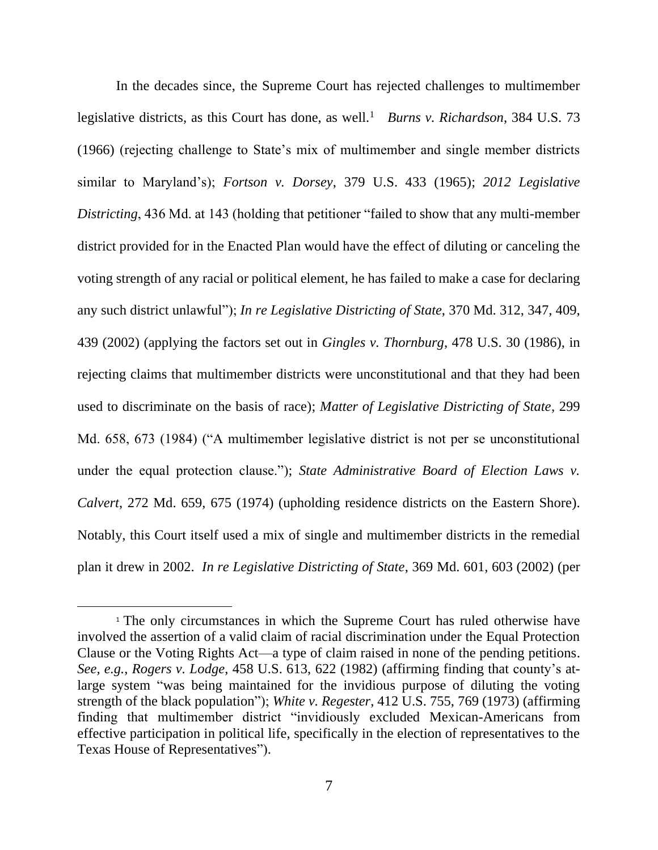In the decades since, the Supreme Court has rejected challenges to multimember legislative districts, as this Court has done, as well.<sup>1</sup> *Burns v. Richardson*, 384 U.S. 73 (1966) (rejecting challenge to State's mix of multimember and single member districts similar to Maryland's); *Fortson v. Dorsey*, 379 U.S. 433 (1965); *2012 Legislative Districting*, 436 Md. at 143 (holding that petitioner "failed to show that any multi-member district provided for in the Enacted Plan would have the effect of diluting or canceling the voting strength of any racial or political element, he has failed to make a case for declaring any such district unlawful"); *In re Legislative Districting of State*, 370 Md. 312, 347, 409, 439 (2002) (applying the factors set out in *Gingles v. Thornburg*, 478 U.S. 30 (1986), in rejecting claims that multimember districts were unconstitutional and that they had been used to discriminate on the basis of race); *Matter of Legislative Districting of State*, 299 Md. 658, 673 (1984) ("A multimember legislative district is not per se unconstitutional under the equal protection clause."); *State Administrative Board of Election Laws v. Calvert*, 272 Md. 659, 675 (1974) (upholding residence districts on the Eastern Shore). Notably, this Court itself used a mix of single and multimember districts in the remedial plan it drew in 2002. *In re Legislative Districting of State*, 369 Md. 601, 603 (2002) (per

<sup>&</sup>lt;sup>1</sup> The only circumstances in which the Supreme Court has ruled otherwise have involved the assertion of a valid claim of racial discrimination under the Equal Protection Clause or the Voting Rights Act—a type of claim raised in none of the pending petitions. *See, e.g.*, *Rogers v. Lodge*, 458 U.S. 613, 622 (1982) (affirming finding that county's atlarge system "was being maintained for the invidious purpose of diluting the voting strength of the black population"); *White v. Regester*, 412 U.S. 755, 769 (1973) (affirming finding that multimember district "invidiously excluded Mexican-Americans from effective participation in political life, specifically in the election of representatives to the Texas House of Representatives").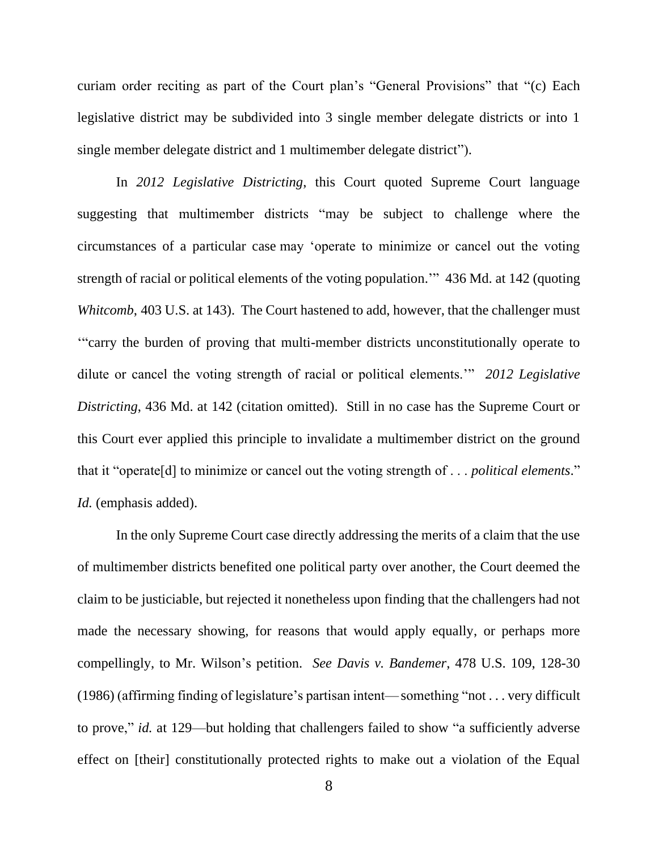curiam order reciting as part of the Court plan's "General Provisions" that "(c) Each legislative district may be subdivided into 3 single member delegate districts or into 1 single member delegate district and 1 multimember delegate district").

In *2012 Legislative Districting*, this Court quoted Supreme Court language suggesting that multimember districts "may be subject to challenge where the circumstances of a particular case may 'operate to minimize or cancel out the voting strength of racial or political elements of the voting population.'" 436 Md. at 142 (quoting *Whitcomb*, [403 U.S. at](https://1.next.westlaw.com/Link/Document/FullText?findType=Y&serNum=1971127096&pubNum=0000708&originatingDoc=I0811d847625b11e3a341ea44e5e1f25f&refType=RP&fi=co_pp_sp_708_1868&originationContext=document&transitionType=DocumentItem&ppcid=d57a0d3e62f14951b16cfeca6437ed7a&contextData=(sc.History*oc.Search)#co_pp_sp_708_1868) 143). The Court hastened to add, however, that the challenger must '"carry the burden of proving that multi-member districts unconstitutionally operate to dilute or cancel the voting strength of racial or political elements.'" *2012 Legislative Districting*, 436 Md. at 142 (citation omitted). Still in no case has the Supreme Court or this Court ever applied this principle to invalidate a multimember district on the ground that it "operate[d] to minimize or cancel out the voting strength of . . . *political elements*." *Id.* (emphasis added).

In the only Supreme Court case directly addressing the merits of a claim that the use of multimember districts benefited one political party over another, the Court deemed the claim to be justiciable, but rejected it nonetheless upon finding that the challengers had not made the necessary showing, for reasons that would apply equally, or perhaps more compellingly, to Mr. Wilson's petition. *See Davis v. Bandemer*, 478 U.S. 109, 128-30 (1986) (affirming finding of legislature's partisan intent—something "not . . . very difficult to prove," *id.* at 129—but holding that challengers failed to show "a sufficiently adverse effect on [their] constitutionally protected rights to make out a violation of the Equal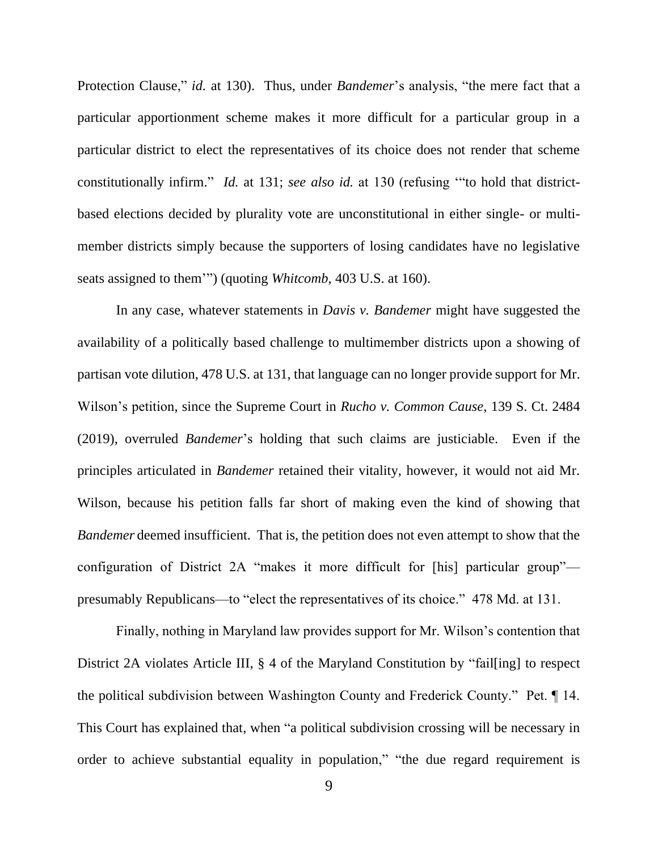Protection Clause," *id.* at 130). Thus, under *Bandemer*'s analysis, "the mere fact that a particular apportionment scheme makes it more difficult for a particular group in a particular district to elect the representatives of its choice does not render that scheme constitutionally infirm." *Id.* at 131; *see also id.* at 130 (refusing '"to hold that districtbased elections decided by plurality vote are unconstitutional in either single- or multimember districts simply because the supporters of losing candidates have no legislative seats assigned to them'") (quoting *Whitcomb*, [403 U.S. at 160\)](https://1.next.westlaw.com/Link/Document/FullText?findType=Y&serNum=1971127096&pubNum=708&originatingDoc=I319520439c2511d9bdd1cfdd544ca3a4&refType=RP&fi=co_pp_sp_708_1878&originationContext=document&transitionType=DocumentItem&ppcid=f702421871454c0a95f4fe629022a3c0&contextData=(sc.DocLink)#co_pp_sp_708_1878).

In any case, whatever statements in *Davis v. Bandemer* might have suggested the availability of a politically based challenge to multimember districts upon a showing of partisan vote dilution, 478 U.S. at 131, that language can no longer provide support for Mr. Wilson's petition, since the Supreme Court in *Rucho v. Common Cause*, 139 S. Ct. 2484 (2019), overruled *Bandemer*'s holding that such claims are justiciable. Even if the principles articulated in *Bandemer* retained their vitality, however, it would not aid Mr. Wilson, because his petition falls far short of making even the kind of showing that *Bandemer* deemed insufficient. That is, the petition does not even attempt to show that the configuration of District 2A "makes it more difficult for [his] particular group" presumably Republicans—to "elect the representatives of its choice." 478 Md. at 131.

Finally, nothing in Maryland law provides support for Mr. Wilson's contention that District 2A violates Article III, § 4 of the Maryland Constitution by "fail[ing] to respect the political subdivision between Washington County and Frederick County." Pet. ¶ 14. This Court has explained that, when "a political subdivision crossing will be necessary in order to achieve substantial equality in population," "the due regard requirement is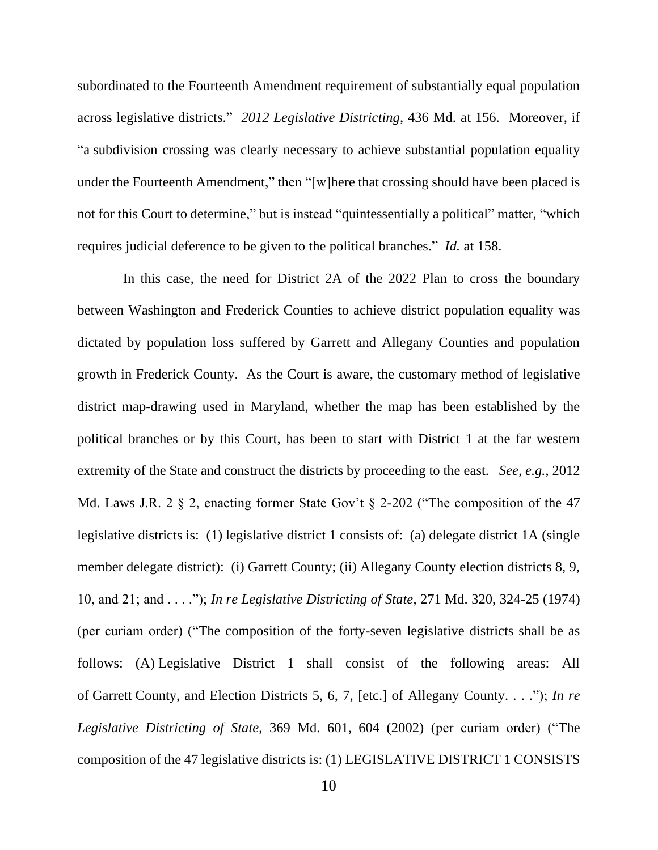subordinated to the Fourteenth Amendment requirement of substantially equal population across legislative districts." *2012 Legislative Districting*, 436 Md. at 156. Moreover, if "a subdivision crossing was clearly necessary to achieve substantial population equality under the Fourteenth Amendment," then "[w]here that crossing should have been placed is not for this Court to determine," but is instead "quintessentially a political" matter, "which requires judicial deference to be given to the political branches." *Id.* at 158.

 In this case, the need for District 2A of the 2022 Plan to cross the boundary between Washington and Frederick Counties to achieve district population equality was dictated by population loss suffered by Garrett and Allegany Counties and population growth in Frederick County. As the Court is aware, the customary method of legislative district map-drawing used in Maryland, whether the map has been established by the political branches or by this Court, has been to start with District 1 at the far western extremity of the State and construct the districts by proceeding to the east. *See, e.g.*, 2012 Md. Laws J.R. 2 § 2, enacting former State Gov't § 2-202 ("The composition of the 47 legislative districts is: (1) legislative district 1 consists of: (a) delegate district 1A (single member delegate district): (i) Garrett County; (ii) Allegany County election districts 8, 9, 10, and 21; and . . . ."); *In re Legislative Districting of State*, 271 Md. 320, 324-25 (1974) (per curiam order) ("The composition of the forty-seven legislative districts shall be as follows: (A) Legislative District 1 shall consist of the following areas: All of Garrett County, and Election Districts 5, 6, 7, [etc.] of Allegany County. . . ."); *In re Legislative Districting of State*, 369 Md. 601, 604 (2002) (per curiam order) ("The composition of the 47 legislative districts is: (1) LEGISLATIVE DISTRICT 1 CONSISTS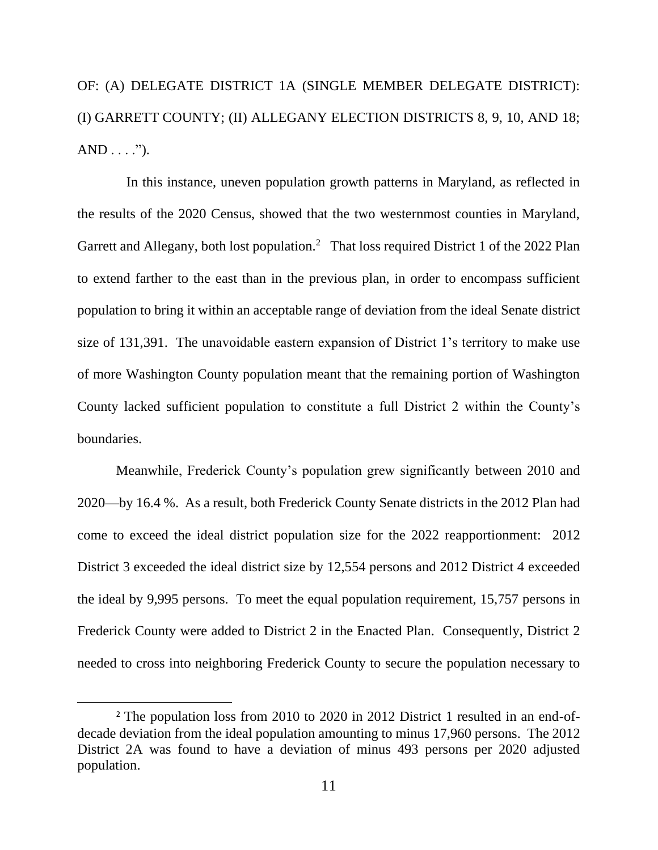OF: (A) DELEGATE DISTRICT 1A (SINGLE MEMBER DELEGATE DISTRICT): (I) GARRETT COUNTY; (II) ALLEGANY ELECTION DISTRICTS 8, 9, 10, AND 18;  $AND \ldots$ ").

 In this instance, uneven population growth patterns in Maryland, as reflected in the results of the 2020 Census, showed that the two westernmost counties in Maryland, Garrett and Allegany, both lost population.<sup>2</sup> That loss required District 1 of the 2022 Plan to extend farther to the east than in the previous plan, in order to encompass sufficient population to bring it within an acceptable range of deviation from the ideal Senate district size of 131,391. The unavoidable eastern expansion of District 1's territory to make use of more Washington County population meant that the remaining portion of Washington County lacked sufficient population to constitute a full District 2 within the County's boundaries.

Meanwhile, Frederick County's population grew significantly between 2010 and 2020—by 16.4 %. As a result, both Frederick County Senate districts in the 2012 Plan had come to exceed the ideal district population size for the 2022 reapportionment: 2012 District 3 exceeded the ideal district size by 12,554 persons and 2012 District 4 exceeded the ideal by 9,995 persons. To meet the equal population requirement, 15,757 persons in Frederick County were added to District 2 in the Enacted Plan. Consequently, District 2 needed to cross into neighboring Frederick County to secure the population necessary to

<sup>&</sup>lt;sup>2</sup> The population loss from 2010 to 2020 in 2012 District 1 resulted in an end-ofdecade deviation from the ideal population amounting to minus 17,960 persons. The 2012 District 2A was found to have a deviation of minus 493 persons per 2020 adjusted population.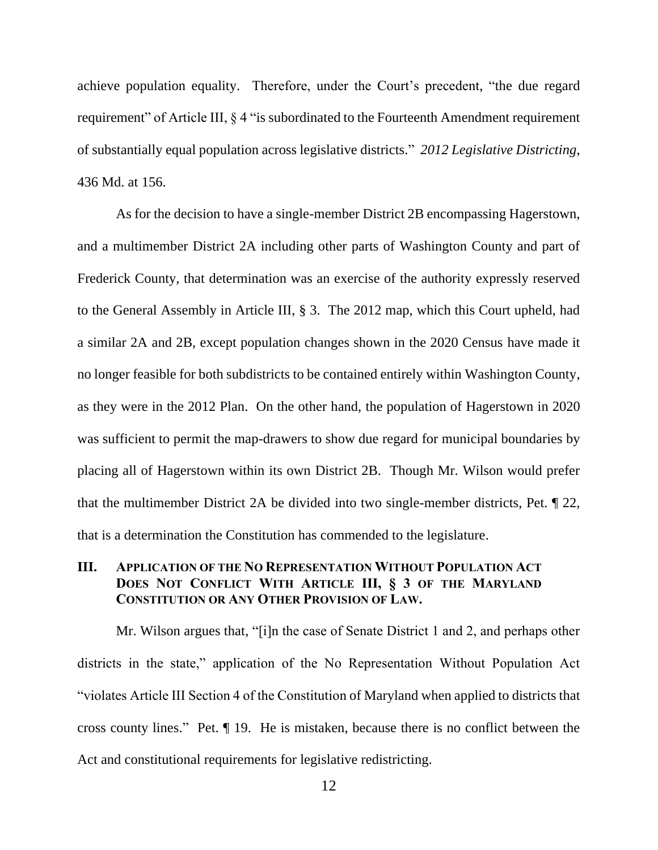achieve population equality. Therefore, under the Court's precedent, "the due regard requirement" of Article III, § 4 "is subordinated to the Fourteenth Amendment requirement of substantially equal population across legislative districts." *2012 Legislative Districting*, 436 Md. at 156.

As for the decision to have a single-member District 2B encompassing Hagerstown, and a multimember District 2A including other parts of Washington County and part of Frederick County, that determination was an exercise of the authority expressly reserved to the General Assembly in Article III, § 3. The 2012 map, which this Court upheld, had a similar 2A and 2B, except population changes shown in the 2020 Census have made it no longer feasible for both subdistricts to be contained entirely within Washington County, as they were in the 2012 Plan. On the other hand, the population of Hagerstown in 2020 was sufficient to permit the map-drawers to show due regard for municipal boundaries by placing all of Hagerstown within its own District 2B. Though Mr. Wilson would prefer that the multimember District 2A be divided into two single-member districts, Pet. ¶ 22, that is a determination the Constitution has commended to the legislature.

# **III. APPLICATION OF THE NO REPRESENTATION WITHOUT POPULATION ACT DOES NOT CONFLICT WITH ARTICLE III, § 3 OF THE MARYLAND CONSTITUTION OR ANY OTHER PROVISION OF LAW.**

Mr. Wilson argues that, "[i]n the case of Senate District 1 and 2, and perhaps other districts in the state," application of the No Representation Without Population Act "violates Article III Section 4 of the Constitution of Maryland when applied to districts that cross county lines." Pet. ¶ 19. He is mistaken, because there is no conflict between the Act and constitutional requirements for legislative redistricting.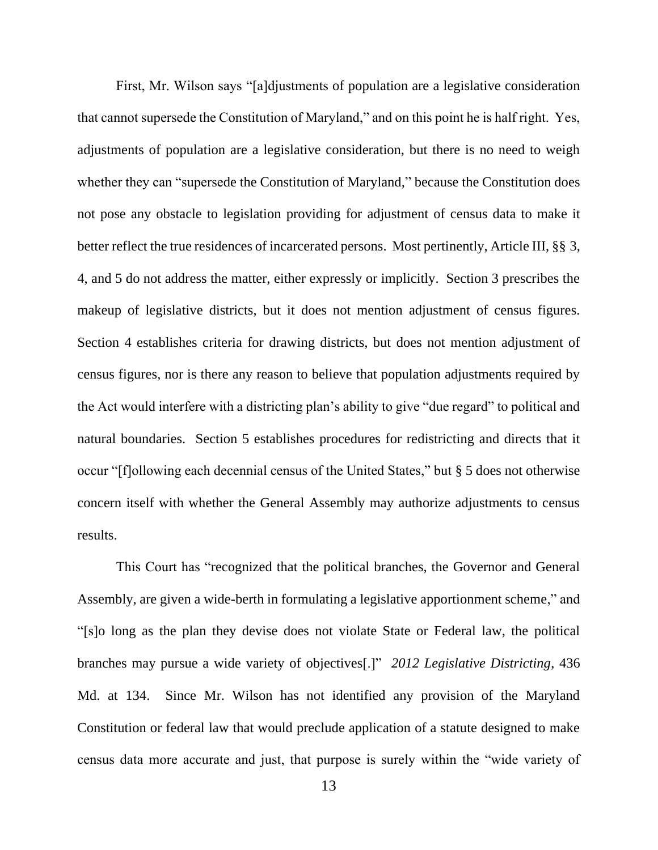First, Mr. Wilson says "[a]djustments of population are a legislative consideration that cannot supersede the Constitution of Maryland," and on this point he is half right. Yes, adjustments of population are a legislative consideration, but there is no need to weigh whether they can "supersede the Constitution of Maryland," because the Constitution does not pose any obstacle to legislation providing for adjustment of census data to make it better reflect the true residences of incarcerated persons. Most pertinently, Article III, §§ 3, 4, and 5 do not address the matter, either expressly or implicitly. Section 3 prescribes the makeup of legislative districts, but it does not mention adjustment of census figures. Section 4 establishes criteria for drawing districts, but does not mention adjustment of census figures, nor is there any reason to believe that population adjustments required by the Act would interfere with a districting plan's ability to give "due regard" to political and natural boundaries. Section 5 establishes procedures for redistricting and directs that it occur "[f]ollowing each decennial census of the United States," but § 5 does not otherwise concern itself with whether the General Assembly may authorize adjustments to census results.

This Court has "recognized that the political branches, the Governor and General Assembly, are given a wide-berth in formulating a legislative apportionment scheme," and "[s]o long as the plan they devise does not violate State or Federal law, the political branches may pursue a wide variety of objectives[.]" *2012 Legislative Districting*, 436 Md. at 134. Since Mr. Wilson has not identified any provision of the Maryland Constitution or federal law that would preclude application of a statute designed to make census data more accurate and just, that purpose is surely within the "wide variety of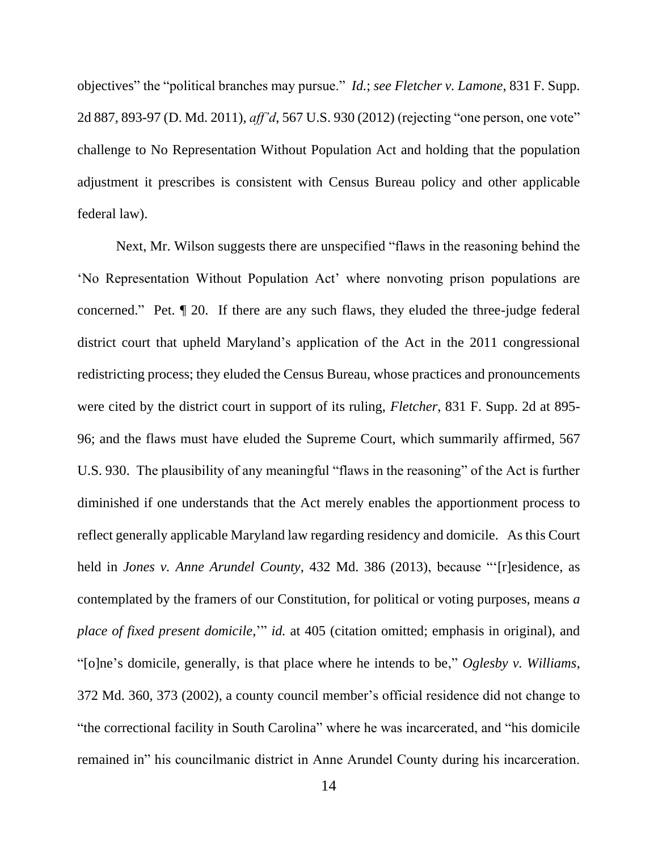objectives" the "political branches may pursue." *Id.*; *see Fletcher v. Lamone*, 831 F. Supp. 2d 887, 893-97 (D. Md. 2011), *aff'd*, 567 U.S. 930 (2012) (rejecting "one person, one vote" challenge to No Representation Without Population Act and holding that the population adjustment it prescribes is consistent with Census Bureau policy and other applicable federal law).

Next, Mr. Wilson suggests there are unspecified "flaws in the reasoning behind the 'No Representation Without Population Act' where nonvoting prison populations are concerned." Pet. ¶ 20. If there are any such flaws, they eluded the three-judge federal district court that upheld Maryland's application of the Act in the 2011 congressional redistricting process; they eluded the Census Bureau, whose practices and pronouncements were cited by the district court in support of its ruling, *Fletcher*, 831 F. Supp. 2d at 895- 96; and the flaws must have eluded the Supreme Court, which summarily affirmed, 567 U.S. 930. The plausibility of any meaningful "flaws in the reasoning" of the Act is further diminished if one understands that the Act merely enables the apportionment process to reflect generally applicable Maryland law regarding residency and domicile. As this Court held in *Jones v. Anne Arundel County*, 432 Md. 386 (2013), because "'[r]esidence, as contemplated by the framers of our Constitution, for political or voting purposes, means *a place of fixed present domicile*,'" *id.* at 405 (citation omitted; emphasis in original), and "[o]ne's domicile, generally, is that place where he intends to be," *Oglesby v. Williams*, 372 Md. 360, 373 (2002), a county council member's official residence did not change to "the correctional facility in South Carolina" where he was incarcerated, and "his domicile remained in" his councilmanic district in Anne Arundel County during his incarceration.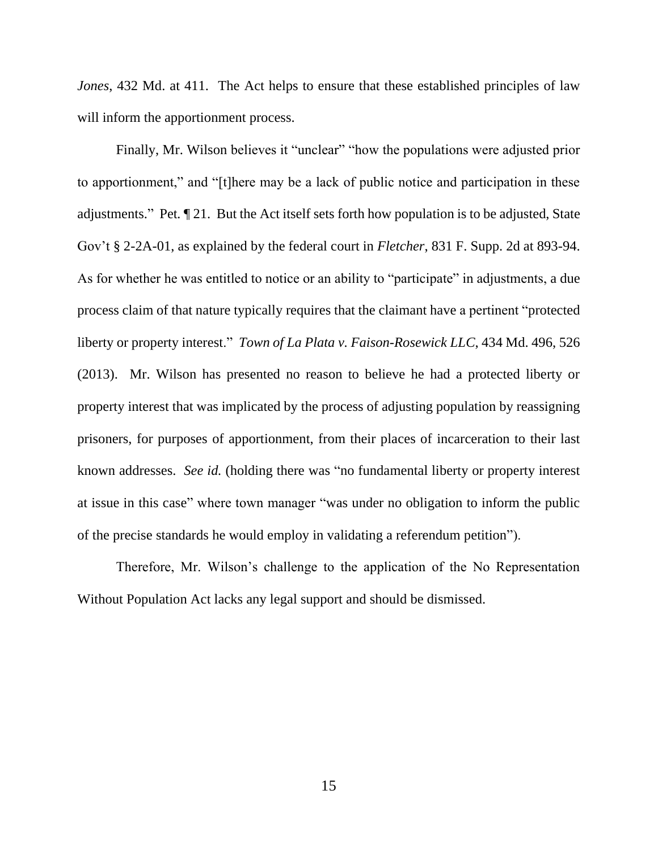*Jones*, 432 Md. at 411. The Act helps to ensure that these established principles of law will inform the apportionment process.

Finally, Mr. Wilson believes it "unclear" "how the populations were adjusted prior to apportionment," and "[t]here may be a lack of public notice and participation in these adjustments." Pet*.* ¶ 21. But the Act itself sets forth how population is to be adjusted, State Gov't § 2-2A-01, as explained by the federal court in *Fletcher*, 831 F. Supp. 2d at 893-94. As for whether he was entitled to notice or an ability to "participate" in adjustments, a due process claim of that nature typically requires that the claimant have a pertinent "protected liberty or property interest." *Town of La Plata v. Faison-Rosewick LLC*, 434 Md. 496, 526 (2013). Mr. Wilson has presented no reason to believe he had a protected liberty or property interest that was implicated by the process of adjusting population by reassigning prisoners, for purposes of apportionment, from their places of incarceration to their last known addresses. *See id.* (holding there was "no fundamental liberty or property interest at issue in this case" where town manager "was under no obligation to inform the public of the precise standards he would employ in validating a referendum petition").

Therefore, Mr. Wilson's challenge to the application of the No Representation Without Population Act lacks any legal support and should be dismissed.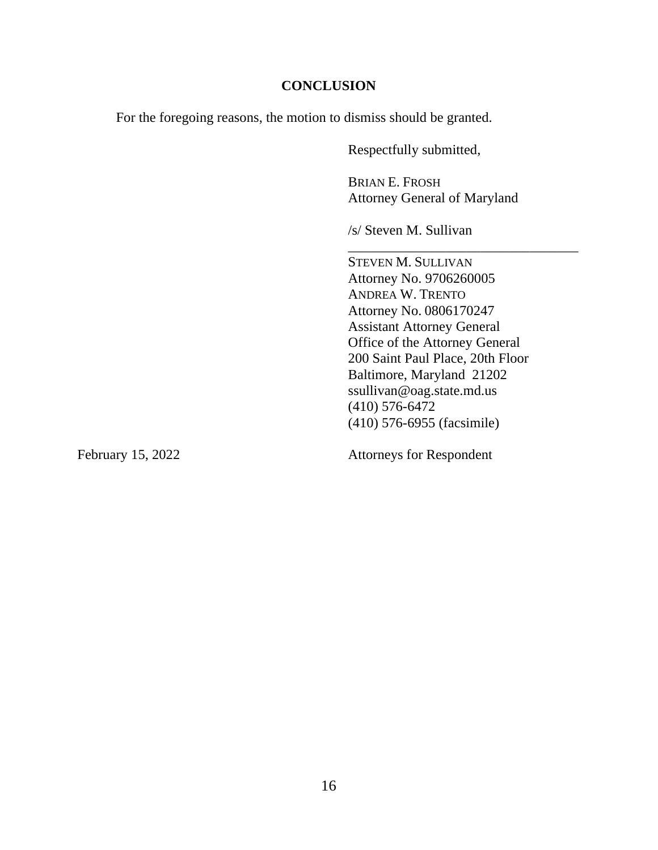#### **CONCLUSION**

For the foregoing reasons, the motion to dismiss should be granted.

Respectfully submitted,

BRIAN E. FROSH Attorney General of Maryland

\_\_\_\_\_\_\_\_\_\_\_\_\_\_\_\_\_\_\_\_\_\_\_\_\_\_\_\_\_\_\_\_\_

/s/ Steven M. Sullivan

STEVEN M. SULLIVAN Attorney No. 9706260005 ANDREA W. TRENTO Attorney No. 0806170247 Assistant Attorney General Office of the Attorney General 200 Saint Paul Place, 20th Floor Baltimore, Maryland 21202 ssullivan@oag.state.md.us (410) 576-6472 (410) 576-6955 (facsimile)

February 15, 2022 Attorneys for Respondent